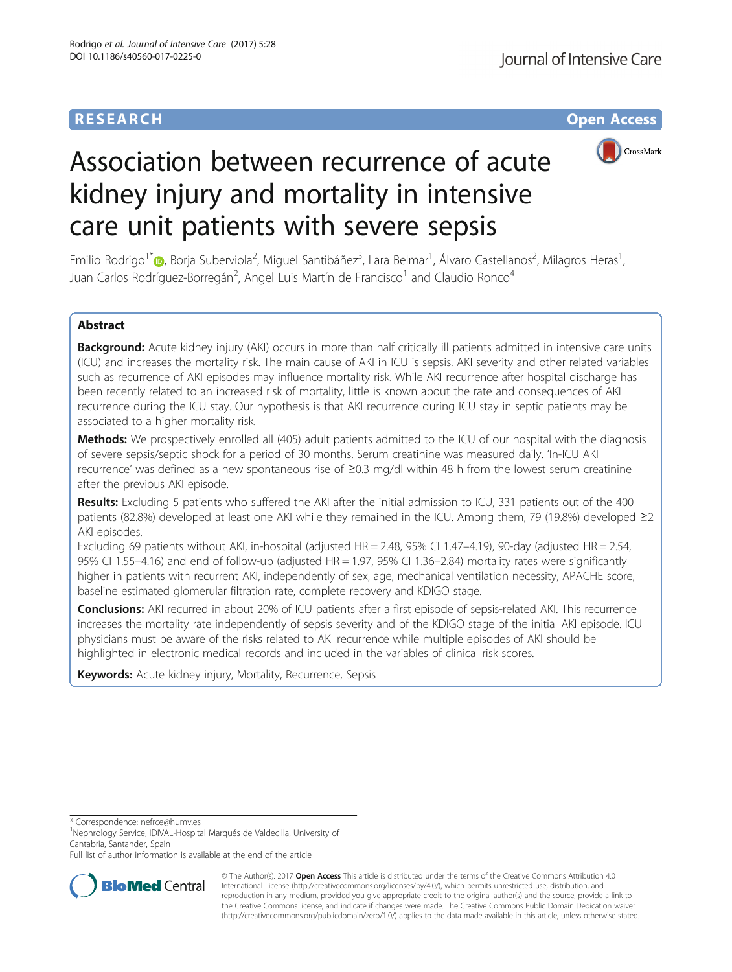# **RESEARCH CHE Open Access**



# Association between recurrence of acute kidney injury and mortality in intensive care unit patients with severe sepsis

Emilio Rodrigo<sup>1\*</sup>®[,](http://orcid.org/0000-0002-2845-5272) Borja Suberviola<sup>2</sup>, Miguel Santibáñez<sup>3</sup>, Lara Belmar<sup>1</sup>, Álvaro Castellanos<sup>2</sup>, Milagros Heras<sup>1</sup> , Juan Carlos Rodríguez-Borregán<sup>2</sup>, Angel Luis Martín de Francisco<sup>1</sup> and Claudio Ronco<sup>4</sup>

# Abstract

Background: Acute kidney injury (AKI) occurs in more than half critically ill patients admitted in intensive care units (ICU) and increases the mortality risk. The main cause of AKI in ICU is sepsis. AKI severity and other related variables such as recurrence of AKI episodes may influence mortality risk. While AKI recurrence after hospital discharge has been recently related to an increased risk of mortality, little is known about the rate and consequences of AKI recurrence during the ICU stay. Our hypothesis is that AKI recurrence during ICU stay in septic patients may be associated to a higher mortality risk.

Methods: We prospectively enrolled all (405) adult patients admitted to the ICU of our hospital with the diagnosis of severe sepsis/septic shock for a period of 30 months. Serum creatinine was measured daily. 'In-ICU AKI recurrence' was defined as a new spontaneous rise of ≥0.3 mg/dl within 48 h from the lowest serum creatinine after the previous AKI episode.

Results: Excluding 5 patients who suffered the AKI after the initial admission to ICU, 331 patients out of the 400 patients (82.8%) developed at least one AKI while they remained in the ICU. Among them, 79 (19.8%) developed ≥2 AKI episodes.

Excluding 69 patients without AKI, in-hospital (adjusted  $HR = 2.48$ , 95% CI 1.47–4.19), 90-day (adjusted  $HR = 2.54$ , 95% CI 1.55-4.16) and end of follow-up (adjusted HR = 1.97, 95% CI 1.36-2.84) mortality rates were significantly higher in patients with recurrent AKI, independently of sex, age, mechanical ventilation necessity, APACHE score, baseline estimated glomerular filtration rate, complete recovery and KDIGO stage.

Conclusions: AKI recurred in about 20% of ICU patients after a first episode of sepsis-related AKI. This recurrence increases the mortality rate independently of sepsis severity and of the KDIGO stage of the initial AKI episode. ICU physicians must be aware of the risks related to AKI recurrence while multiple episodes of AKI should be highlighted in electronic medical records and included in the variables of clinical risk scores.

**Keywords:** Acute kidney injury, Mortality, Recurrence, Sepsis

\* Correspondence: [nefrce@humv.es](mailto:nefrce@humv.es) <sup>1</sup>

Nephrology Service, IDIVAL-Hospital Marqués de Valdecilla, University of Cantabria, Santander, Spain

Full list of author information is available at the end of the article



© The Author(s). 2017 **Open Access** This article is distributed under the terms of the Creative Commons Attribution 4.0 International License [\(http://creativecommons.org/licenses/by/4.0/](http://creativecommons.org/licenses/by/4.0/)), which permits unrestricted use, distribution, and reproduction in any medium, provided you give appropriate credit to the original author(s) and the source, provide a link to the Creative Commons license, and indicate if changes were made. The Creative Commons Public Domain Dedication waiver [\(http://creativecommons.org/publicdomain/zero/1.0/](http://creativecommons.org/publicdomain/zero/1.0/)) applies to the data made available in this article, unless otherwise stated.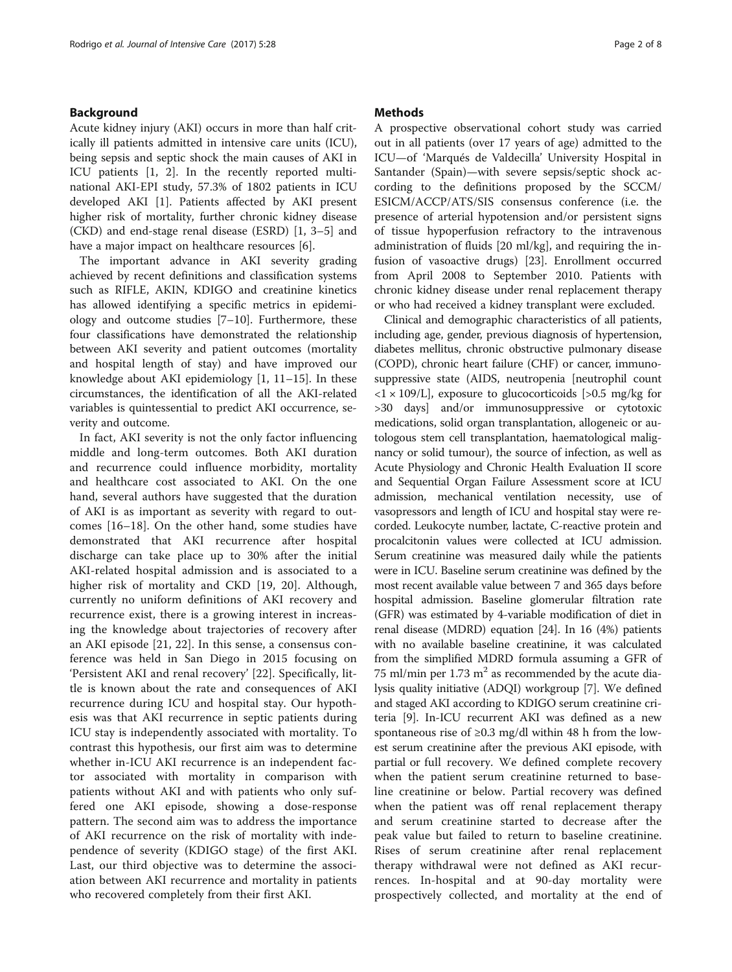# Background

Acute kidney injury (AKI) occurs in more than half critically ill patients admitted in intensive care units (ICU), being sepsis and septic shock the main causes of AKI in ICU patients [[1, 2\]](#page-7-0). In the recently reported multinational AKI-EPI study, 57.3% of 1802 patients in ICU developed AKI [[1\]](#page-7-0). Patients affected by AKI present higher risk of mortality, further chronic kidney disease (CKD) and end-stage renal disease (ESRD) [\[1](#page-7-0), [3](#page-7-0)–[5\]](#page-7-0) and have a major impact on healthcare resources [\[6](#page-7-0)].

The important advance in AKI severity grading achieved by recent definitions and classification systems such as RIFLE, AKIN, KDIGO and creatinine kinetics has allowed identifying a specific metrics in epidemiology and outcome studies [[7](#page-7-0)–[10](#page-7-0)]. Furthermore, these four classifications have demonstrated the relationship between AKI severity and patient outcomes (mortality and hospital length of stay) and have improved our knowledge about AKI epidemiology [\[1, 11](#page-7-0)–[15](#page-7-0)]. In these circumstances, the identification of all the AKI-related variables is quintessential to predict AKI occurrence, severity and outcome.

In fact, AKI severity is not the only factor influencing middle and long-term outcomes. Both AKI duration and recurrence could influence morbidity, mortality and healthcare cost associated to AKI. On the one hand, several authors have suggested that the duration of AKI is as important as severity with regard to outcomes [\[16](#page-7-0)–[18](#page-7-0)]. On the other hand, some studies have demonstrated that AKI recurrence after hospital discharge can take place up to 30% after the initial AKI-related hospital admission and is associated to a higher risk of mortality and CKD [[19](#page-7-0), [20](#page-7-0)]. Although, currently no uniform definitions of AKI recovery and recurrence exist, there is a growing interest in increasing the knowledge about trajectories of recovery after an AKI episode [\[21](#page-7-0), [22\]](#page-7-0). In this sense, a consensus conference was held in San Diego in 2015 focusing on 'Persistent AKI and renal recovery' [\[22](#page-7-0)]. Specifically, little is known about the rate and consequences of AKI recurrence during ICU and hospital stay. Our hypothesis was that AKI recurrence in septic patients during ICU stay is independently associated with mortality. To contrast this hypothesis, our first aim was to determine whether in-ICU AKI recurrence is an independent factor associated with mortality in comparison with patients without AKI and with patients who only suffered one AKI episode, showing a dose-response pattern. The second aim was to address the importance of AKI recurrence on the risk of mortality with independence of severity (KDIGO stage) of the first AKI. Last, our third objective was to determine the association between AKI recurrence and mortality in patients who recovered completely from their first AKI.

# **Methods**

A prospective observational cohort study was carried out in all patients (over 17 years of age) admitted to the ICU—of 'Marqués de Valdecilla' University Hospital in Santander (Spain)—with severe sepsis/septic shock according to the definitions proposed by the SCCM/ ESICM/ACCP/ATS/SIS consensus conference (i.e. the presence of arterial hypotension and/or persistent signs of tissue hypoperfusion refractory to the intravenous administration of fluids [20 ml/kg], and requiring the infusion of vasoactive drugs) [\[23](#page-7-0)]. Enrollment occurred from April 2008 to September 2010. Patients with chronic kidney disease under renal replacement therapy or who had received a kidney transplant were excluded.

Clinical and demographic characteristics of all patients, including age, gender, previous diagnosis of hypertension, diabetes mellitus, chronic obstructive pulmonary disease (COPD), chronic heart failure (CHF) or cancer, immunosuppressive state (AIDS, neutropenia [neutrophil count  $\langle 1 \times 109/L \rangle$ , exposure to glucocorticoids [>0.5 mg/kg for >30 days] and/or immunosuppressive or cytotoxic medications, solid organ transplantation, allogeneic or autologous stem cell transplantation, haematological malignancy or solid tumour), the source of infection, as well as Acute Physiology and Chronic Health Evaluation II score and Sequential Organ Failure Assessment score at ICU admission, mechanical ventilation necessity, use of vasopressors and length of ICU and hospital stay were recorded. Leukocyte number, lactate, C-reactive protein and procalcitonin values were collected at ICU admission. Serum creatinine was measured daily while the patients were in ICU. Baseline serum creatinine was defined by the most recent available value between 7 and 365 days before hospital admission. Baseline glomerular filtration rate (GFR) was estimated by 4-variable modification of diet in renal disease (MDRD) equation [\[24\]](#page-7-0). In 16 (4%) patients with no available baseline creatinine, it was calculated from the simplified MDRD formula assuming a GFR of 75 ml/min per  $1.73 \text{ m}^2$  as recommended by the acute dialysis quality initiative (ADQI) workgroup [\[7\]](#page-7-0). We defined and staged AKI according to KDIGO serum creatinine criteria [[9\]](#page-7-0). In-ICU recurrent AKI was defined as a new spontaneous rise of ≥0.3 mg/dl within 48 h from the lowest serum creatinine after the previous AKI episode, with partial or full recovery. We defined complete recovery when the patient serum creatinine returned to baseline creatinine or below. Partial recovery was defined when the patient was off renal replacement therapy and serum creatinine started to decrease after the peak value but failed to return to baseline creatinine. Rises of serum creatinine after renal replacement therapy withdrawal were not defined as AKI recurrences. In-hospital and at 90-day mortality were prospectively collected, and mortality at the end of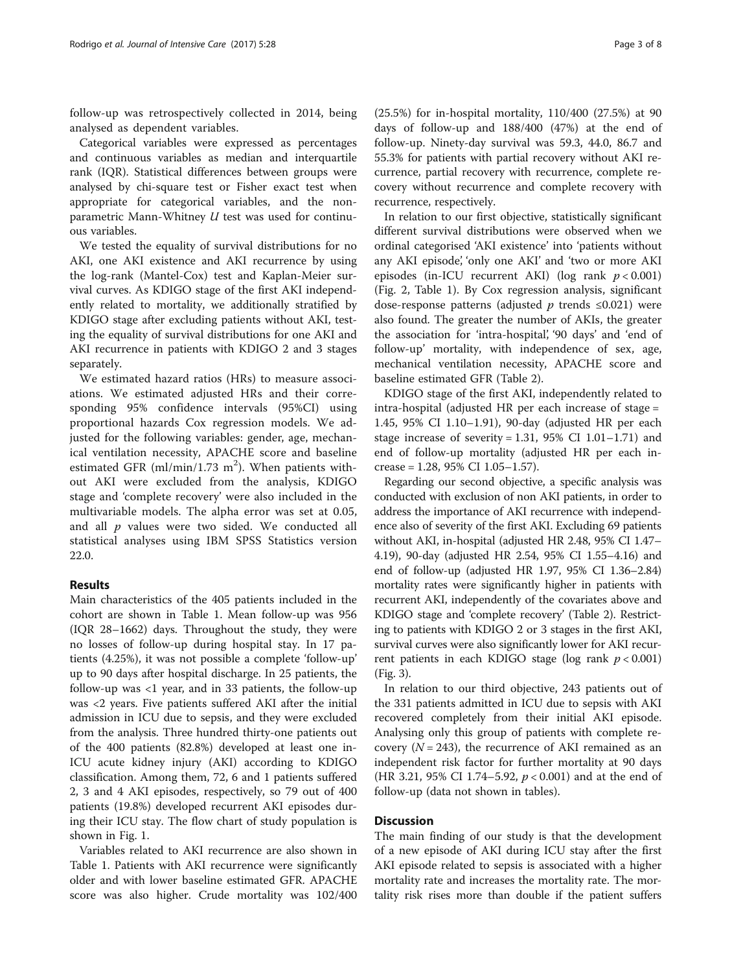follow-up was retrospectively collected in 2014, being analysed as dependent variables.

Categorical variables were expressed as percentages and continuous variables as median and interquartile rank (IQR). Statistical differences between groups were analysed by chi-square test or Fisher exact test when appropriate for categorical variables, and the nonparametric Mann-Whitney  $U$  test was used for continuous variables.

We tested the equality of survival distributions for no AKI, one AKI existence and AKI recurrence by using the log-rank (Mantel-Cox) test and Kaplan-Meier survival curves. As KDIGO stage of the first AKI independently related to mortality, we additionally stratified by KDIGO stage after excluding patients without AKI, testing the equality of survival distributions for one AKI and AKI recurrence in patients with KDIGO 2 and 3 stages separately.

We estimated hazard ratios (HRs) to measure associations. We estimated adjusted HRs and their corresponding 95% confidence intervals (95%CI) using proportional hazards Cox regression models. We adjusted for the following variables: gender, age, mechanical ventilation necessity, APACHE score and baseline estimated GFR (ml/min/1.73  $m<sup>2</sup>$ ). When patients without AKI were excluded from the analysis, KDIGO stage and 'complete recovery' were also included in the multivariable models. The alpha error was set at 0.05, and all  $p$  values were two sided. We conducted all statistical analyses using IBM SPSS Statistics version 22.0.

# Results

Main characteristics of the 405 patients included in the cohort are shown in Table [1.](#page-3-0) Mean follow-up was 956 (IQR 28–1662) days. Throughout the study, they were no losses of follow-up during hospital stay. In 17 patients (4.25%), it was not possible a complete 'follow-up' up to 90 days after hospital discharge. In 25 patients, the follow-up was <1 year, and in 33 patients, the follow-up was <2 years. Five patients suffered AKI after the initial admission in ICU due to sepsis, and they were excluded from the analysis. Three hundred thirty-one patients out of the 400 patients (82.8%) developed at least one in-ICU acute kidney injury (AKI) according to KDIGO classification. Among them, 72, 6 and 1 patients suffered 2, 3 and 4 AKI episodes, respectively, so 79 out of 400 patients (19.8%) developed recurrent AKI episodes during their ICU stay. The flow chart of study population is shown in Fig. [1](#page-4-0).

Variables related to AKI recurrence are also shown in Table [1](#page-3-0). Patients with AKI recurrence were significantly older and with lower baseline estimated GFR. APACHE score was also higher. Crude mortality was 102/400

(25.5%) for in-hospital mortality, 110/400 (27.5%) at 90 days of follow-up and 188/400 (47%) at the end of follow-up. Ninety-day survival was 59.3, 44.0, 86.7 and 55.3% for patients with partial recovery without AKI recurrence, partial recovery with recurrence, complete recovery without recurrence and complete recovery with recurrence, respectively.

In relation to our first objective, statistically significant different survival distributions were observed when we ordinal categorised 'AKI existence' into 'patients without any AKI episode', 'only one AKI' and 'two or more AKI episodes (in-ICU recurrent AKI) (log rank  $p < 0.001$ ) (Fig. [2,](#page-4-0) Table [1\)](#page-3-0). By Cox regression analysis, significant dose-response patterns (adjusted  $p$  trends ≤0.021) were also found. The greater the number of AKIs, the greater the association for 'intra-hospital', '90 days' and 'end of follow-up' mortality, with independence of sex, age, mechanical ventilation necessity, APACHE score and baseline estimated GFR (Table [2](#page-5-0)).

KDIGO stage of the first AKI, independently related to intra-hospital (adjusted HR per each increase of stage = 1.45, 95% CI 1.10–1.91), 90-day (adjusted HR per each stage increase of severity =  $1.31$ ,  $95\%$  CI  $1.01-1.71$ ) and end of follow-up mortality (adjusted HR per each increase = 1.28, 95% CI 1.05–1.57).

Regarding our second objective, a specific analysis was conducted with exclusion of non AKI patients, in order to address the importance of AKI recurrence with independence also of severity of the first AKI. Excluding 69 patients without AKI, in-hospital (adjusted HR 2.48, 95% CI 1.47– 4.19), 90-day (adjusted HR 2.54, 95% CI 1.55–4.16) and end of follow-up (adjusted HR 1.97, 95% CI 1.36–2.84) mortality rates were significantly higher in patients with recurrent AKI, independently of the covariates above and KDIGO stage and 'complete recovery' (Table [2](#page-5-0)). Restricting to patients with KDIGO 2 or 3 stages in the first AKI, survival curves were also significantly lower for AKI recurrent patients in each KDIGO stage (log rank  $p < 0.001$ ) (Fig. [3](#page-5-0)).

In relation to our third objective, 243 patients out of the 331 patients admitted in ICU due to sepsis with AKI recovered completely from their initial AKI episode. Analysing only this group of patients with complete recovery ( $N = 243$ ), the recurrence of AKI remained as an independent risk factor for further mortality at 90 days (HR 3.21, 95% CI 1.74–5.92,  $p < 0.001$ ) and at the end of follow-up (data not shown in tables).

# **Discussion**

The main finding of our study is that the development of a new episode of AKI during ICU stay after the first AKI episode related to sepsis is associated with a higher mortality rate and increases the mortality rate. The mortality risk rises more than double if the patient suffers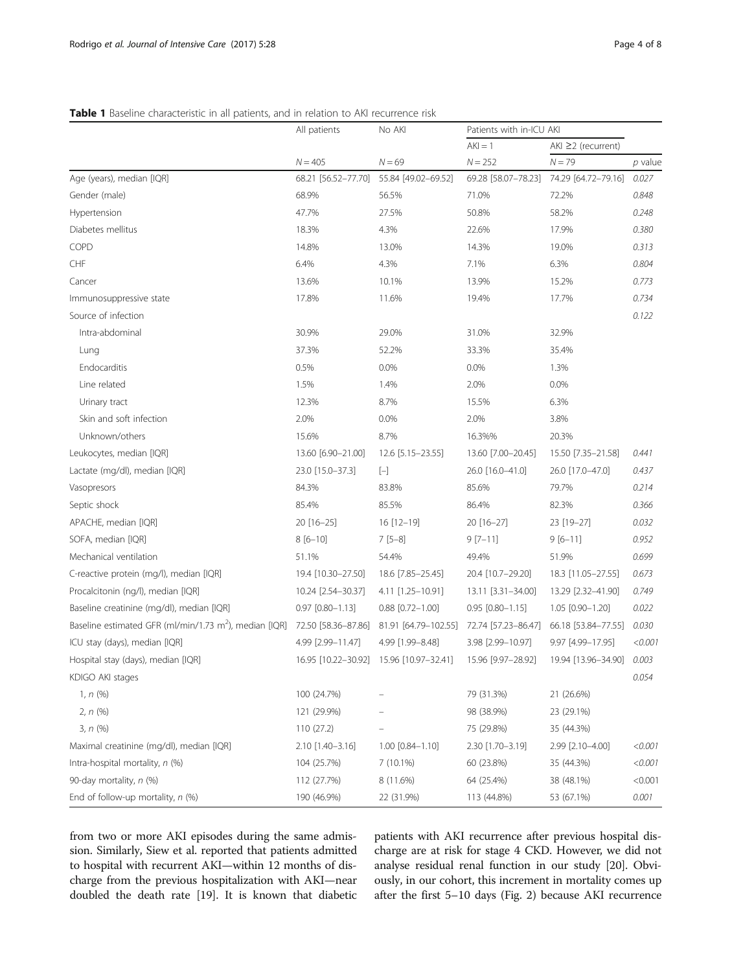<span id="page-3-0"></span>

| <b>Table 1</b> Baseline characteristic in all patients, and in relation to AKI recurrence risk |
|------------------------------------------------------------------------------------------------|
|                                                                                                |

|                                                                    | All patients           | No AKI                 | Patients with in-ICU AKI |                     |           |  |  |  |
|--------------------------------------------------------------------|------------------------|------------------------|--------------------------|---------------------|-----------|--|--|--|
|                                                                    |                        |                        | $AKI = 1$                | AKI ≥2 (recurrent)  |           |  |  |  |
|                                                                    | $N = 405$              | $N = 69$               | $N = 252$                | $N = 79$            | $p$ value |  |  |  |
| Age (years), median [IQR]                                          | 68.21 [56.52-77.70]    | 55.84 [49.02-69.52]    | 69.28 [58.07-78.23]      | 74.29 [64.72-79.16] | 0.027     |  |  |  |
| Gender (male)                                                      | 68.9%                  | 56.5%                  | 71.0%                    | 72.2%               | 0.848     |  |  |  |
| Hypertension                                                       | 47.7%                  | 27.5%                  | 50.8%                    | 58.2%               | 0.248     |  |  |  |
| Diabetes mellitus                                                  | 18.3%                  | 4.3%                   | 22.6%                    | 17.9%               | 0.380     |  |  |  |
| COPD                                                               | 14.8%                  | 13.0%                  | 14.3%                    | 19.0%               | 0.313     |  |  |  |
| CHF                                                                | 6.4%                   | 4.3%                   | 7.1%                     | 6.3%                | 0.804     |  |  |  |
| Cancer                                                             | 13.6%                  | 10.1%                  | 13.9%                    | 15.2%               | 0.773     |  |  |  |
| Immunosuppressive state                                            | 17.8%                  | 11.6%                  | 19.4%                    | 17.7%               | 0.734     |  |  |  |
| Source of infection                                                |                        |                        |                          |                     | 0.122     |  |  |  |
| Intra-abdominal                                                    | 30.9%                  | 29.0%                  | 31.0%                    | 32.9%               |           |  |  |  |
| Lung                                                               | 37.3%                  | 52.2%                  | 33.3%                    | 35.4%               |           |  |  |  |
| Endocarditis                                                       | 0.5%                   | 0.0%                   | 0.0%                     | 1.3%                |           |  |  |  |
| Line related                                                       | 1.5%                   | 1.4%                   | 2.0%                     | 0.0%                |           |  |  |  |
| Urinary tract                                                      | 12.3%                  | 8.7%                   | 15.5%                    | 6.3%                |           |  |  |  |
| Skin and soft infection                                            | 2.0%                   | 0.0%                   | 2.0%                     | 3.8%                |           |  |  |  |
| Unknown/others                                                     | 15.6%                  | 8.7%                   | 16.3%%                   | 20.3%               |           |  |  |  |
| Leukocytes, median [IQR]                                           | 13.60 [6.90-21.00]     | 12.6 [5.15-23.55]      | 13.60 [7.00-20.45]       | 15.50 [7.35-21.58]  | 0.441     |  |  |  |
| Lactate (mg/dl), median [IQR]                                      | 23.0 [15.0-37.3]       | $[ - ]$                | 26.0 [16.0-41.0]         | 26.0 [17.0-47.0]    | 0.437     |  |  |  |
| Vasopresors                                                        | 84.3%                  | 83.8%                  | 85.6%                    | 79.7%               | 0.214     |  |  |  |
| Septic shock                                                       | 85.4%                  | 85.5%                  | 86.4%                    | 82.3%               | 0.366     |  |  |  |
| APACHE, median [IQR]                                               | 20 [16-25]             | 16 [12-19]             | 20 [16-27]               | 23 [19-27]          | 0.032     |  |  |  |
| SOFA, median [IQR]                                                 | $8[6-10]$              | $7[5-8]$               | $9[7-11]$                | $9[6 - 11]$         | 0.952     |  |  |  |
| Mechanical ventilation                                             | 51.1%                  | 54.4%                  | 49.4%                    | 51.9%               | 0.699     |  |  |  |
| C-reactive protein (mg/l), median [IQR]                            | 19.4 [10.30-27.50]     | 18.6 [7.85-25.45]      | 20.4 [10.7-29.20]        | 18.3 [11.05-27.55]  | 0.673     |  |  |  |
| Procalcitonin (ng/l), median [IQR]                                 | 10.24 [2.54-30.37]     | 4.11 [1.25-10.91]      | 13.11 [3.31-34.00]       | 13.29 [2.32-41.90]  | 0.749     |  |  |  |
| Baseline creatinine (mg/dl), median [IQR]                          | $0.97$ $[0.80 - 1.13]$ | $0.88$ $[0.72 - 1.00]$ | $0.95$ $[0.80 - 1.15]$   | 1.05 [0.90-1.20]    | 0.022     |  |  |  |
| Baseline estimated GFR (ml/min/1.73 m <sup>2</sup> ), median [IQR] | 72.50 [58.36-87.86]    | 81.91 [64.79-102.55]   | 72.74 [57.23-86.47]      | 66.18 [53.84-77.55] | 0.030     |  |  |  |
| ICU stay (days), median [IQR]                                      | 4.99 [2.99-11.47]      | 4.99 [1.99-8.48]       | 3.98 [2.99-10.97]        | 9.97 [4.99-17.95]   | < 0.001   |  |  |  |
| Hospital stay (days), median [IQR]                                 | 16.95 [10.22-30.92]    | 15.96 [10.97-32.41]    | 15.96 [9.97-28.92]       | 19.94 [13.96-34.90] | 0.003     |  |  |  |
| KDIGO AKI stages                                                   |                        |                        |                          |                     | 0.054     |  |  |  |
| $1, n (\%)$                                                        | 100 (24.7%)            |                        | 79 (31.3%)               | 21 (26.6%)          |           |  |  |  |
| $2, n$ (%)                                                         | 121 (29.9%)            |                        | 98 (38.9%)               | 23 (29.1%)          |           |  |  |  |
| 3, n (%)                                                           | 110 (27.2)             |                        | 75 (29.8%)               | 35 (44.3%)          |           |  |  |  |
| Maximal creatinine (mg/dl), median [IQR]                           | 2.10 [1.40-3.16]       | 1.00 [0.84-1.10]       | 2.30 [1.70-3.19]         | 2.99 [2.10-4.00]    | < 0.001   |  |  |  |
| Intra-hospital mortality, $n$ (%)                                  | 104 (25.7%)            | 7 (10.1%)              | 60 (23.8%)               | 35 (44.3%)          | < 0.001   |  |  |  |
| 90-day mortality, n (%)                                            | 112 (27.7%)            | 8 (11.6%)              | 64 (25.4%)               | 38 (48.1%)          | < 0.001   |  |  |  |
| End of follow-up mortality, $n$ (%)                                | 190 (46.9%)            | 22 (31.9%)             | 113 (44.8%)              | 53 (67.1%)          | 0.001     |  |  |  |

from two or more AKI episodes during the same admission. Similarly, Siew et al. reported that patients admitted to hospital with recurrent AKI—within 12 months of discharge from the previous hospitalization with AKI—near doubled the death rate [\[19\]](#page-7-0). It is known that diabetic patients with AKI recurrence after previous hospital discharge are at risk for stage 4 CKD. However, we did not analyse residual renal function in our study [\[20\]](#page-7-0). Obviously, in our cohort, this increment in mortality comes up after the first 5–10 days (Fig. [2](#page-4-0)) because AKI recurrence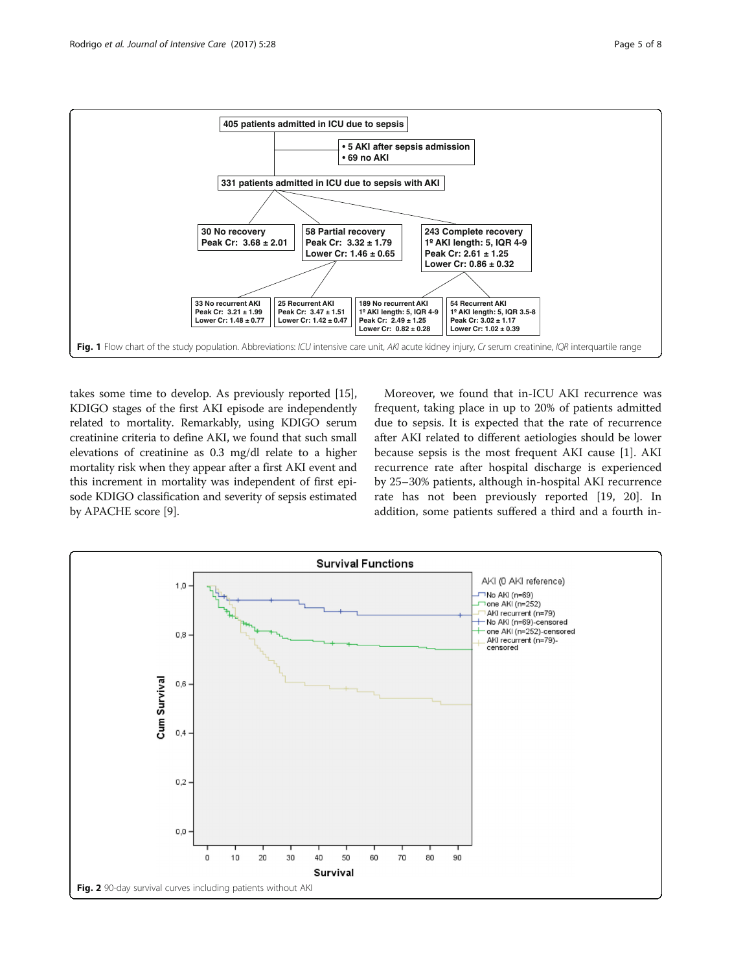<span id="page-4-0"></span>

takes some time to develop. As previously reported [[15](#page-7-0)], KDIGO stages of the first AKI episode are independently related to mortality. Remarkably, using KDIGO serum creatinine criteria to define AKI, we found that such small elevations of creatinine as 0.3 mg/dl relate to a higher mortality risk when they appear after a first AKI event and this increment in mortality was independent of first episode KDIGO classification and severity of sepsis estimated by APACHE score [\[9\]](#page-7-0).

Moreover, we found that in-ICU AKI recurrence was frequent, taking place in up to 20% of patients admitted due to sepsis. It is expected that the rate of recurrence after AKI related to different aetiologies should be lower because sepsis is the most frequent AKI cause [[1\]](#page-7-0). AKI recurrence rate after hospital discharge is experienced by 25–30% patients, although in-hospital AKI recurrence rate has not been previously reported [[19, 20\]](#page-7-0). In addition, some patients suffered a third and a fourth in-

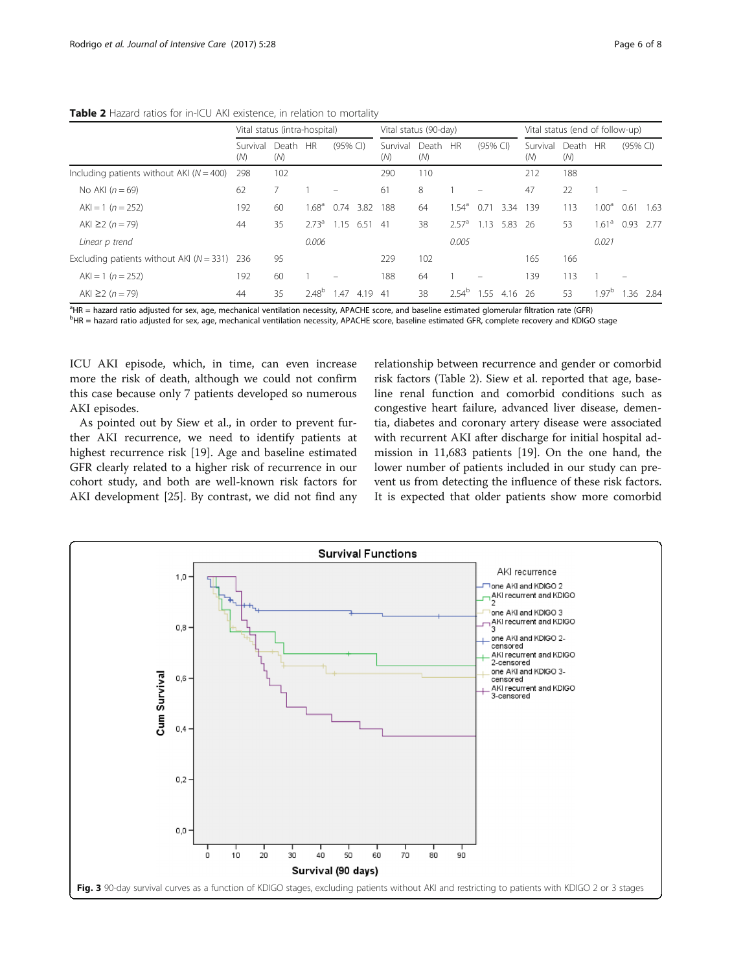<span id="page-5-0"></span>

| Table 2 Hazard ratios for in-ICU AKI existence, in relation to mortality |  |  |  |
|--------------------------------------------------------------------------|--|--|--|
|--------------------------------------------------------------------------|--|--|--|

|                                              | Vital status (intra-hospital) |              |                   |          | Vital status (90-day) |                 |              |                |          | Vital status (end of follow-up) |                 |              |                   |          |        |
|----------------------------------------------|-------------------------------|--------------|-------------------|----------|-----------------------|-----------------|--------------|----------------|----------|---------------------------------|-----------------|--------------|-------------------|----------|--------|
|                                              | Survival<br>(N)               | Death<br>(M) | <b>HR</b>         | (95% Cl) |                       | Survival<br>(M) | Death<br>(M) | HR             | (95% CI) |                                 | Survival<br>(M) | Death<br>(N) | <b>HR</b>         | (95% CI) |        |
| Including patients without AKI ( $N = 400$ ) | 298                           | 102          |                   |          |                       | 290             | 110          |                |          |                                 | 212             | 188          |                   |          |        |
| No AKI $(n = 69)$                            | 62                            |              |                   |          |                       | 61              | 8            |                |          |                                 | 47              | 22           |                   |          |        |
| $AKI = 1 (n = 252)$                          | 192                           | 60           | $1.68^{\circ}$    | 0.74     | 3.82                  | 188             | 64           | $1.54^{\circ}$ | 0.71     | 3.34                            | 139             | 113          | $1.00^{\rm a}$    | 0.61     | 1.63   |
| AKI $\geq$ 2 ( <i>n</i> = 79)                | 44                            | 35           | 2.73 <sup>a</sup> | 1.15     | 6.51                  | - 41            | 38           | $2.57^a$ 1.13  |          | 5.83 26                         |                 | 53           | 1.61 <sup>a</sup> | 0.93     | 2.77   |
| Linear p trend                               |                               |              | 0.006             |          |                       |                 |              | 0.005          |          |                                 |                 |              | 0.021             |          |        |
| Excluding patients without AKI ( $N = 331$ ) | - 236                         | 95           |                   |          |                       | 229             | 102          |                |          |                                 | 165             | 166          |                   |          |        |
| $AKI = 1 (n = 252)$                          | 192                           | 60           |                   |          |                       | 188             | 64           |                |          |                                 | 139             | 113          |                   |          |        |
| AKI $\geq$ 2 (n = 79)                        | 44                            | 35           | $2.48^{b}$        | 1.47     | 4.19                  | 41              | 38           | $2.54^{b}$     | 1.55     | 4.16 26                         |                 | 53           | .97 <sup>b</sup>  | .36      | - 2.84 |

<sup>a</sup>HR = hazard ratio adjusted for sex, age, mechanical ventilation necessity, APACHE score, and baseline estimated glomerular filtration rate (GFR)

<sup>b</sup>HR = hazard ratio adjusted for sex, age, mechanical ventilation necessity, APACHE score, baseline estimated GFR, complete recovery and KDIGO stage

ICU AKI episode, which, in time, can even increase more the risk of death, although we could not confirm this case because only 7 patients developed so numerous AKI episodes.

As pointed out by Siew et al., in order to prevent further AKI recurrence, we need to identify patients at highest recurrence risk [\[19](#page-7-0)]. Age and baseline estimated GFR clearly related to a higher risk of recurrence in our cohort study, and both are well-known risk factors for AKI development [\[25](#page-7-0)]. By contrast, we did not find any relationship between recurrence and gender or comorbid risk factors (Table 2). Siew et al. reported that age, baseline renal function and comorbid conditions such as congestive heart failure, advanced liver disease, dementia, diabetes and coronary artery disease were associated with recurrent AKI after discharge for initial hospital admission in 11,683 patients [\[19](#page-7-0)]. On the one hand, the lower number of patients included in our study can prevent us from detecting the influence of these risk factors. It is expected that older patients show more comorbid

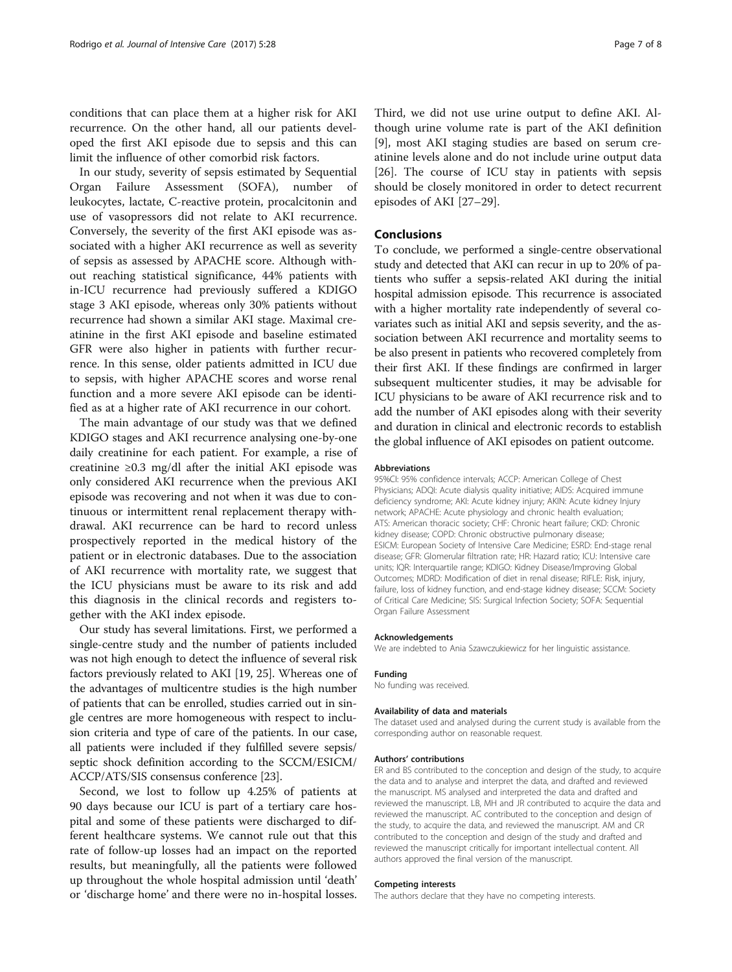conditions that can place them at a higher risk for AKI recurrence. On the other hand, all our patients developed the first AKI episode due to sepsis and this can limit the influence of other comorbid risk factors.

In our study, severity of sepsis estimated by Sequential Organ Failure Assessment (SOFA), number of leukocytes, lactate, C-reactive protein, procalcitonin and use of vasopressors did not relate to AKI recurrence. Conversely, the severity of the first AKI episode was associated with a higher AKI recurrence as well as severity of sepsis as assessed by APACHE score. Although without reaching statistical significance, 44% patients with in-ICU recurrence had previously suffered a KDIGO stage 3 AKI episode, whereas only 30% patients without recurrence had shown a similar AKI stage. Maximal creatinine in the first AKI episode and baseline estimated GFR were also higher in patients with further recurrence. In this sense, older patients admitted in ICU due to sepsis, with higher APACHE scores and worse renal function and a more severe AKI episode can be identified as at a higher rate of AKI recurrence in our cohort.

The main advantage of our study was that we defined KDIGO stages and AKI recurrence analysing one-by-one daily creatinine for each patient. For example, a rise of creatinine  $\geq 0.3$  mg/dl after the initial AKI episode was only considered AKI recurrence when the previous AKI episode was recovering and not when it was due to continuous or intermittent renal replacement therapy withdrawal. AKI recurrence can be hard to record unless prospectively reported in the medical history of the patient or in electronic databases. Due to the association of AKI recurrence with mortality rate, we suggest that the ICU physicians must be aware to its risk and add this diagnosis in the clinical records and registers together with the AKI index episode.

Our study has several limitations. First, we performed a single-centre study and the number of patients included was not high enough to detect the influence of several risk factors previously related to AKI [\[19, 25](#page-7-0)]. Whereas one of the advantages of multicentre studies is the high number of patients that can be enrolled, studies carried out in single centres are more homogeneous with respect to inclusion criteria and type of care of the patients. In our case, all patients were included if they fulfilled severe sepsis/ septic shock definition according to the SCCM/ESICM/ ACCP/ATS/SIS consensus conference [\[23\]](#page-7-0).

Second, we lost to follow up 4.25% of patients at 90 days because our ICU is part of a tertiary care hospital and some of these patients were discharged to different healthcare systems. We cannot rule out that this rate of follow-up losses had an impact on the reported results, but meaningfully, all the patients were followed up throughout the whole hospital admission until 'death' or 'discharge home' and there were no in-hospital losses. Third, we did not use urine output to define AKI. Although urine volume rate is part of the AKI definition [[9\]](#page-7-0), most AKI staging studies are based on serum creatinine levels alone and do not include urine output data [[26\]](#page-7-0). The course of ICU stay in patients with sepsis should be closely monitored in order to detect recurrent episodes of AKI [[27](#page-7-0)–[29](#page-7-0)].

# Conclusions

To conclude, we performed a single-centre observational study and detected that AKI can recur in up to 20% of patients who suffer a sepsis-related AKI during the initial hospital admission episode. This recurrence is associated with a higher mortality rate independently of several covariates such as initial AKI and sepsis severity, and the association between AKI recurrence and mortality seems to be also present in patients who recovered completely from their first AKI. If these findings are confirmed in larger subsequent multicenter studies, it may be advisable for ICU physicians to be aware of AKI recurrence risk and to add the number of AKI episodes along with their severity and duration in clinical and electronic records to establish the global influence of AKI episodes on patient outcome.

#### **Abbreviations**

95%CI: 95% confidence intervals; ACCP: American College of Chest Physicians; ADQI: Acute dialysis quality initiative; AIDS: Acquired immune deficiency syndrome; AKI: Acute kidney injury; AKIN: Acute kidney Injury network; APACHE: Acute physiology and chronic health evaluation; ATS: American thoracic society; CHF: Chronic heart failure; CKD: Chronic kidney disease; COPD: Chronic obstructive pulmonary disease; ESICM: European Society of Intensive Care Medicine; ESRD: End-stage renal disease; GFR: Glomerular filtration rate; HR: Hazard ratio; ICU: Intensive care units; IQR: Interquartile range; KDIGO: Kidney Disease/Improving Global Outcomes; MDRD: Modification of diet in renal disease; RIFLE: Risk, injury, failure, loss of kidney function, and end-stage kidney disease; SCCM: Society of Critical Care Medicine; SIS: Surgical Infection Society; SOFA: Sequential Organ Failure Assessment

#### Acknowledgements

We are indebted to Ania Szawczukiewicz for her linguistic assistance.

#### Funding

No funding was received.

## Availability of data and materials

The dataset used and analysed during the current study is available from the corresponding author on reasonable request.

#### Authors' contributions

ER and BS contributed to the conception and design of the study, to acquire the data and to analyse and interpret the data, and drafted and reviewed the manuscript. MS analysed and interpreted the data and drafted and reviewed the manuscript. LB, MH and JR contributed to acquire the data and reviewed the manuscript. AC contributed to the conception and design of the study, to acquire the data, and reviewed the manuscript. AM and CR contributed to the conception and design of the study and drafted and reviewed the manuscript critically for important intellectual content. All authors approved the final version of the manuscript.

## Competing interests

The authors declare that they have no competing interests.